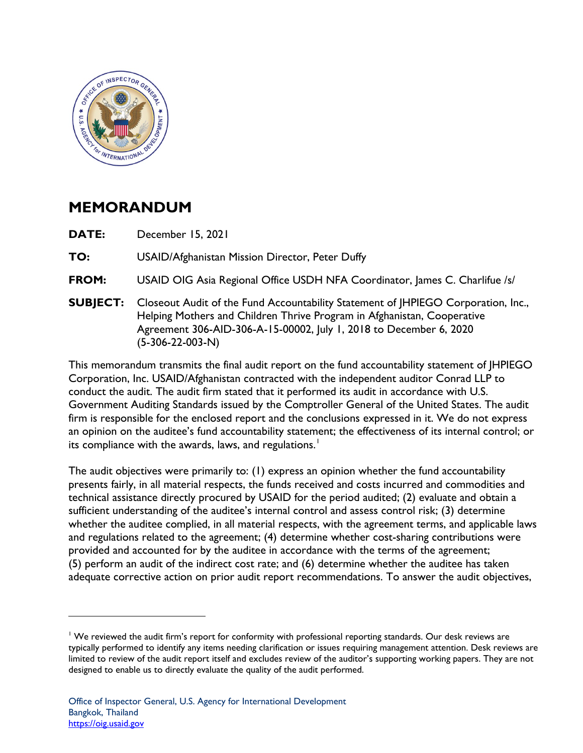

## **MEMORANDUM**

**DATE:** December 15, 2021

**TO:** USAID/Afghanistan Mission Director, Peter Duffy

**FROM:** USAID OIG Asia Regional Office USDH NFA Coordinator, James C. Charlifue /s/

Agreement 306-AID-306-A-15-00002, July 1, 2018 to December 6, 2020<br>(5-306-22-003-N) **SUBJECT:** Closeout Audit of the Fund Accountability Statement of JHPIEGO Corporation, Inc., Helping Mothers and Children Thrive Program in Afghanistan, Cooperative

 Corporation, Inc. USAID/Afghanistan contracted with the independent auditor Conrad LLP to This memorandum transmits the final audit report on the fund accountability statement of JHPIEGO conduct the audit. The audit firm stated that it performed its audit in accordance with U.S. Government Auditing Standards issued by the Comptroller General of the United States. The audit firm is responsible for the enclosed report and the conclusions expressed in it. We do not express an opinion on the auditee's fund accountability statement; the effectiveness of its internal control; or its compliance with the awards, laws, and regulations.<sup>1</sup>

 The audit objectives were primarily to: (1) express an opinion whether the fund accountability sufficient understanding of the auditee's internal control and assess control risk; (3) determine provided and accounted for by the auditee in accordance with the terms of the agreement; (5) perform an audit of the indirect cost rate; and (6) determine whether the auditee has taken presents fairly, in all material respects, the funds received and costs incurred and commodities and technical assistance directly procured by USAID for the period audited; (2) evaluate and obtain a whether the auditee complied, in all material respects, with the agreement terms, and applicable laws and regulations related to the agreement; (4) determine whether cost-sharing contributions were adequate corrective action on prior audit report recommendations. To answer the audit objectives,

<sup>&</sup>lt;sup>1</sup> We reviewed the audit firm's report for conformity with professional reporting standards. Our desk reviews are typically performed to identify any items needing clarification or issues requiring management attention. Desk reviews are limited to review of the audit report itself and excludes review of the auditor's supporting working papers. They are not designed to enable us to directly evaluate the quality of the audit performed.